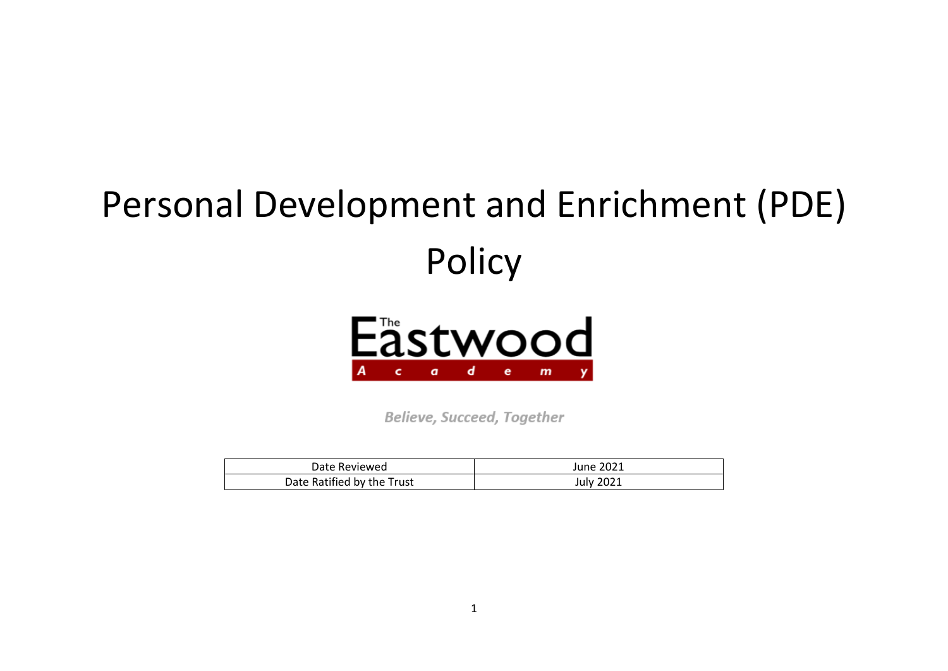# Personal Development and Enrichment (PDE) Policy



Believe, Succeed, Together

| Date Reviewed              | June 2021        |
|----------------------------|------------------|
| Date Ratified by the Trust | <b>July 2021</b> |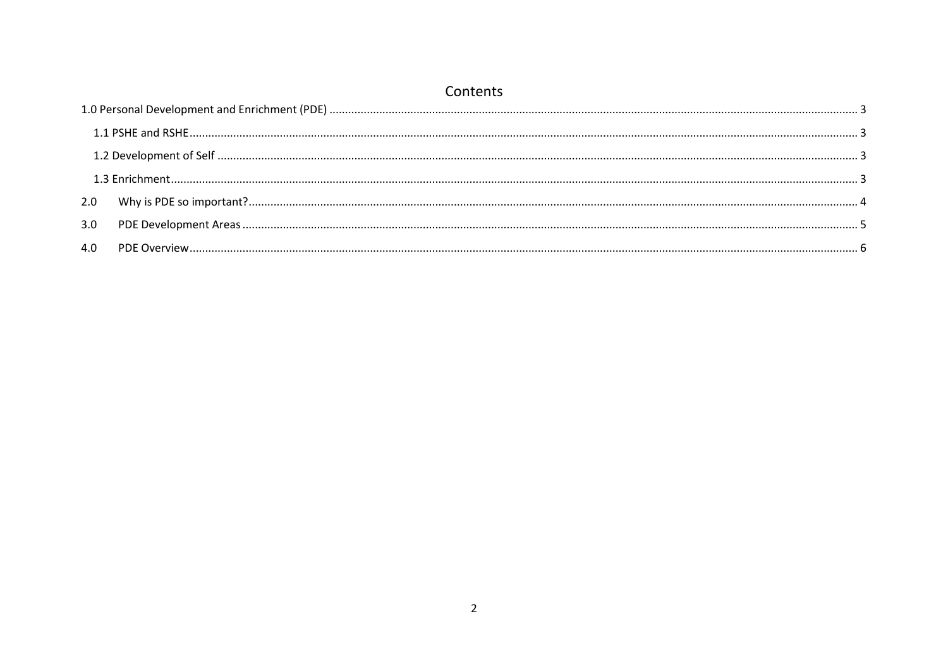|     | Contents |  |  |  |  |  |  |
|-----|----------|--|--|--|--|--|--|
|     |          |  |  |  |  |  |  |
|     |          |  |  |  |  |  |  |
|     |          |  |  |  |  |  |  |
|     |          |  |  |  |  |  |  |
|     |          |  |  |  |  |  |  |
| 3.0 |          |  |  |  |  |  |  |
| 4.0 |          |  |  |  |  |  |  |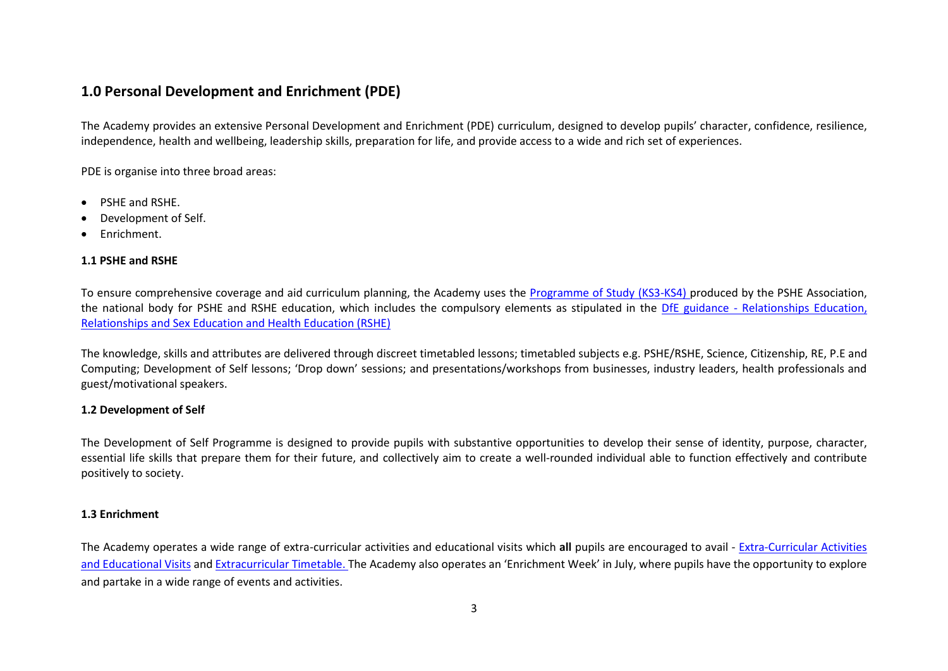# <span id="page-2-0"></span>**1.0 Personal Development and Enrichment (PDE)**

The Academy provides an extensive Personal Development and Enrichment (PDE) curriculum, designed to develop pupils' character, confidence, resilience, independence, health and wellbeing, leadership skills, preparation for life, and provide access to a wide and rich set of experiences.

PDE is organise into three broad areas:

- PSHE and RSHE.
- Development of Self.
- Enrichment.

#### <span id="page-2-1"></span>**1.1 PSHE and RSHE**

To ensure comprehensive coverage and aid curriculum planning, the Academy uses the [Programme of Study \(KS3-KS4\) p](https://www.pshe-association.org.uk/system/files/PSHE%20Association%20Programme%20of%20Study%20for%20PSHE%20Education%20%28Key%20stages%201%E2%80%935%29%2C%20Jan%202020.pdf)roduced by the PSHE Association, the national body for PSHE and RSHE education, which includes the compulsory elements as stipulated in the DfE guidance - [Relationships Education,](https://assets.publishing.service.gov.uk/government/uploads/system/uploads/attachment_data/file/805781/Relationships_Education__Relationships_and_Sex_Education__RSE__and_Health_Education.pdf)  [Relationships and Sex Education and Health Education \(RSHE\)](https://assets.publishing.service.gov.uk/government/uploads/system/uploads/attachment_data/file/805781/Relationships_Education__Relationships_and_Sex_Education__RSE__and_Health_Education.pdf)

The knowledge, skills and attributes are delivered through discreet timetabled lessons; timetabled subjects e.g. PSHE/RSHE, Science, Citizenship, RE, P.E and Computing; Development of Self lessons; 'Drop down' sessions; and presentations/workshops from businesses, industry leaders, health professionals and guest/motivational speakers.

#### <span id="page-2-2"></span>**1.2 Development of Self**

The Development of Self Programme is designed to provide pupils with substantive opportunities to develop their sense of identity, purpose, character, essential life skills that prepare them for their future, and collectively aim to create a well-rounded individual able to function effectively and contribute positively to society.

#### <span id="page-2-3"></span>**1.3 Enrichment**

The Academy operates a wide range of extra-curricular activities and educational visits which **all** pupils are encouraged to avail - [Extra-Curricular Activities](http://www.eastwoodacademy.co.uk/index.php/pupils/extra-curricular)  [and Educational Visits](http://www.eastwoodacademy.co.uk/index.php/pupils/extra-curricular) and [Extracurricular Timetable.](http://www.eastwoodacademy.co.uk/docs/EXC19.xlsx) The Academy also operates an 'Enrichment Week' in July, where pupils have the opportunity to explore and partake in a wide range of events and activities.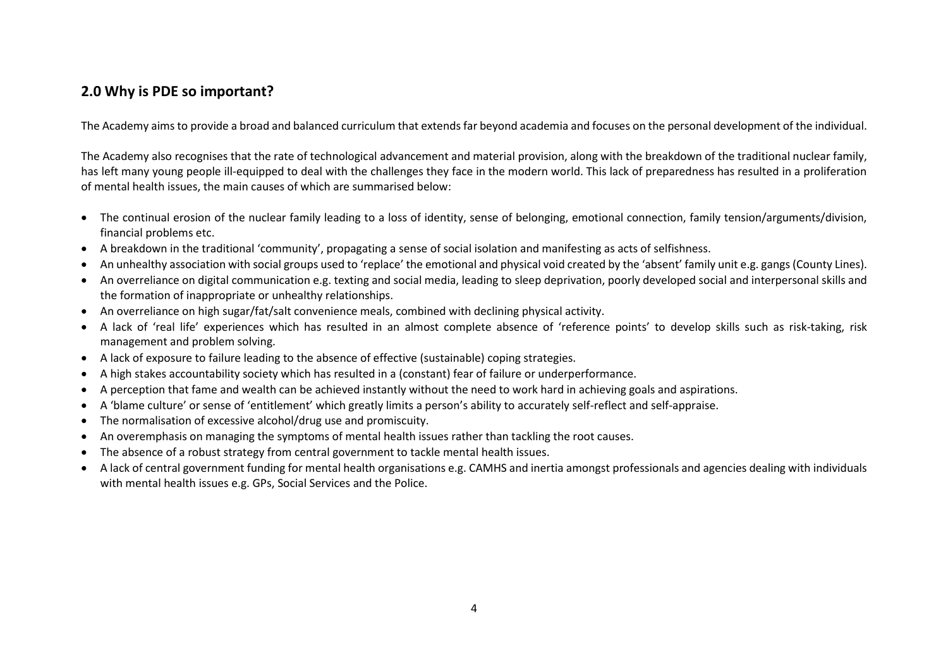# <span id="page-3-0"></span>**2.0 Why is PDE so important?**

The Academy aims to provide a broad and balanced curriculum that extends far beyond academia and focuses on the personal development of the individual.

The Academy also recognises that the rate of technological advancement and material provision, along with the breakdown of the traditional nuclear family, has left many young people ill-equipped to deal with the challenges they face in the modern world. This lack of preparedness has resulted in a proliferation of mental health issues, the main causes of which are summarised below:

- The continual erosion of the nuclear family leading to a loss of identity, sense of belonging, emotional connection, family tension/arguments/division, financial problems etc.
- A breakdown in the traditional 'community', propagating a sense of social isolation and manifesting as acts of selfishness.
- An unhealthy association with social groups used to 'replace' the emotional and physical void created by the 'absent' family unit e.g. gangs (County Lines).
- An overreliance on digital communication e.g. texting and social media, leading to sleep deprivation, poorly developed social and interpersonal skills and the formation of inappropriate or unhealthy relationships.
- An overreliance on high sugar/fat/salt convenience meals, combined with declining physical activity.
- A lack of 'real life' experiences which has resulted in an almost complete absence of 'reference points' to develop skills such as risk-taking, risk management and problem solving.
- A lack of exposure to failure leading to the absence of effective (sustainable) coping strategies.
- A high stakes accountability society which has resulted in a (constant) fear of failure or underperformance.
- A perception that fame and wealth can be achieved instantly without the need to work hard in achieving goals and aspirations.
- A 'blame culture' or sense of 'entitlement' which greatly limits a person's ability to accurately self-reflect and self-appraise.
- The normalisation of excessive alcohol/drug use and promiscuity.
- An overemphasis on managing the symptoms of mental health issues rather than tackling the root causes.
- The absence of a robust strategy from central government to tackle mental health issues.
- A lack of central government funding for mental health organisations e.g. CAMHS and inertia amongst professionals and agencies dealing with individuals with mental health issues e.g. GPs, Social Services and the Police.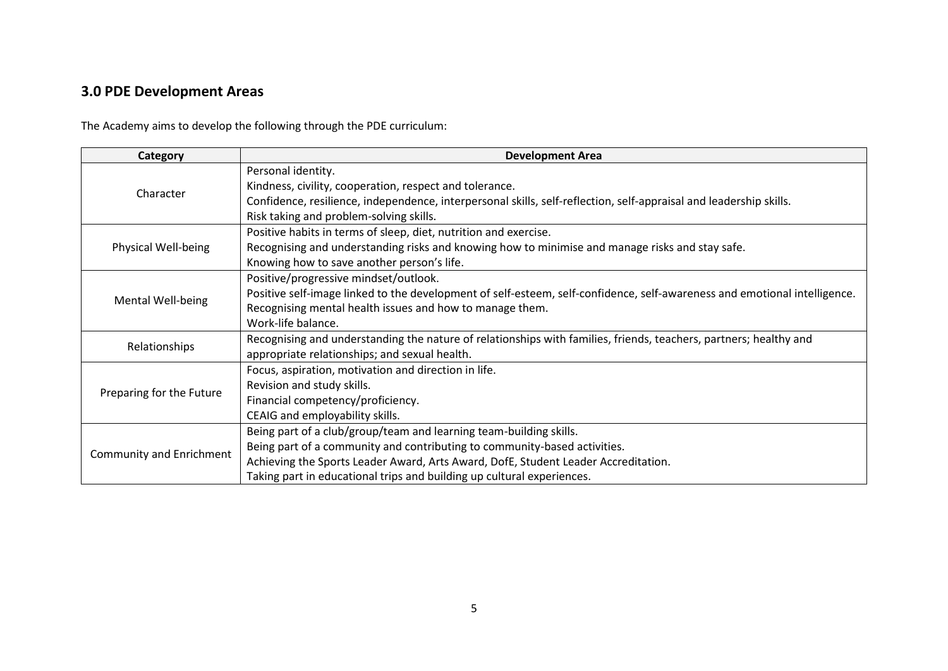# <span id="page-4-0"></span>**3.0 PDE Development Areas**

The Academy aims to develop the following through the PDE curriculum:

| Category                 | <b>Development Area</b>                                                                                                   |  |  |  |  |
|--------------------------|---------------------------------------------------------------------------------------------------------------------------|--|--|--|--|
|                          | Personal identity.                                                                                                        |  |  |  |  |
| Character                | Kindness, civility, cooperation, respect and tolerance.                                                                   |  |  |  |  |
|                          | Confidence, resilience, independence, interpersonal skills, self-reflection, self-appraisal and leadership skills.        |  |  |  |  |
|                          | Risk taking and problem-solving skills.                                                                                   |  |  |  |  |
|                          | Positive habits in terms of sleep, diet, nutrition and exercise.                                                          |  |  |  |  |
| Physical Well-being      | Recognising and understanding risks and knowing how to minimise and manage risks and stay safe.                           |  |  |  |  |
|                          | Knowing how to save another person's life.                                                                                |  |  |  |  |
|                          | Positive/progressive mindset/outlook.                                                                                     |  |  |  |  |
| Mental Well-being        | Positive self-image linked to the development of self-esteem, self-confidence, self-awareness and emotional intelligence. |  |  |  |  |
|                          | Recognising mental health issues and how to manage them.                                                                  |  |  |  |  |
|                          | Work-life balance.                                                                                                        |  |  |  |  |
| Relationships            | Recognising and understanding the nature of relationships with families, friends, teachers, partners; healthy and         |  |  |  |  |
|                          | appropriate relationships; and sexual health.                                                                             |  |  |  |  |
|                          | Focus, aspiration, motivation and direction in life.                                                                      |  |  |  |  |
| Preparing for the Future | Revision and study skills.                                                                                                |  |  |  |  |
|                          | Financial competency/proficiency.                                                                                         |  |  |  |  |
|                          | CEAIG and employability skills.                                                                                           |  |  |  |  |
|                          | Being part of a club/group/team and learning team-building skills.                                                        |  |  |  |  |
|                          | Being part of a community and contributing to community-based activities.                                                 |  |  |  |  |
| Community and Enrichment | Achieving the Sports Leader Award, Arts Award, DofE, Student Leader Accreditation.                                        |  |  |  |  |
|                          | Taking part in educational trips and building up cultural experiences.                                                    |  |  |  |  |